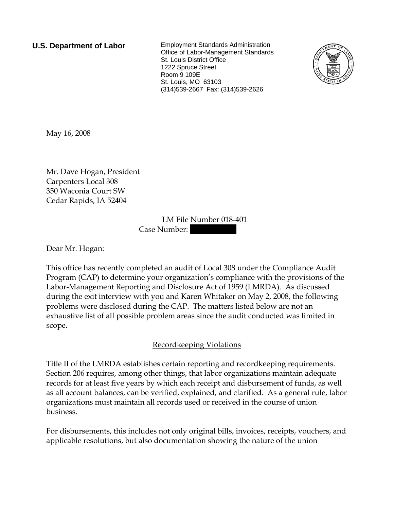**U.S. Department of Labor** Employment Standards Administration Office of Labor-Management Standards St. Louis District Office 1222 Spruce Street Room 9 109E St. Louis, MO 63103 (314)539-2667 Fax: (314)539-2626



May 16, 2008

Mr. Dave Hogan, President Carpenters Local 308 350 Waconia Court SW Cedar Rapids, IA 52404

> LM File Number 018-401 Case Number:

Dear Mr. Hogan:

This office has recently completed an audit of Local 308 under the Compliance Audit Program (CAP) to determine your organization's compliance with the provisions of the Labor-Management Reporting and Disclosure Act of 1959 (LMRDA). As discussed during the exit interview with you and Karen Whitaker on May 2, 2008, the following problems were disclosed during the CAP. The matters listed below are not an exhaustive list of all possible problem areas since the audit conducted was limited in scope.

## Recordkeeping Violations

Title II of the LMRDA establishes certain reporting and recordkeeping requirements. Section 206 requires, among other things, that labor organizations maintain adequate records for at least five years by which each receipt and disbursement of funds, as well as all account balances, can be verified, explained, and clarified. As a general rule, labor organizations must maintain all records used or received in the course of union business.

For disbursements, this includes not only original bills, invoices, receipts, vouchers, and applicable resolutions, but also documentation showing the nature of the union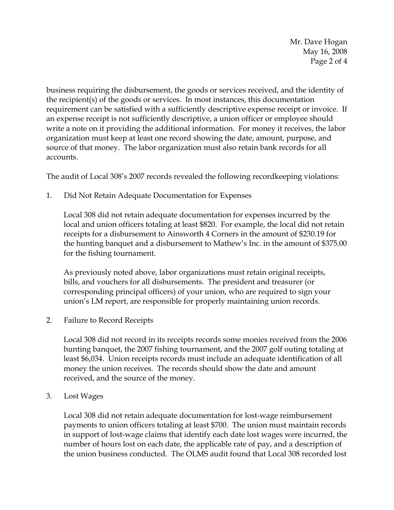Mr. Dave Hogan May 16, 2008 Page 2 of 4

business requiring the disbursement, the goods or services received, and the identity of the recipient(s) of the goods or services. In most instances, this documentation requirement can be satisfied with a sufficiently descriptive expense receipt or invoice. If an expense receipt is not sufficiently descriptive, a union officer or employee should write a note on it providing the additional information. For money it receives, the labor organization must keep at least one record showing the date, amount, purpose, and source of that money. The labor organization must also retain bank records for all accounts.

The audit of Local 308's 2007 records revealed the following recordkeeping violations:

1. Did Not Retain Adequate Documentation for Expenses

Local 308 did not retain adequate documentation for expenses incurred by the local and union officers totaling at least \$820. For example, the local did not retain receipts for a disbursement to Ainsworth 4 Corners in the amount of \$230.19 for the hunting banquet and a disbursement to Mathew's Inc. in the amount of \$375.00 for the fishing tournament.

As previously noted above, labor organizations must retain original receipts, bills, and vouchers for all disbursements. The president and treasurer (or corresponding principal officers) of your union, who are required to sign your union's LM report, are responsible for properly maintaining union records.

2. Failure to Record Receipts

Local 308 did not record in its receipts records some monies received from the 2006 hunting banquet, the 2007 fishing tournament, and the 2007 golf outing totaling at least \$6,034. Union receipts records must include an adequate identification of all money the union receives. The records should show the date and amount received, and the source of the money.

3. Lost Wages

Local 308 did not retain adequate documentation for lost-wage reimbursement payments to union officers totaling at least \$700. The union must maintain records in support of lost-wage claims that identify each date lost wages were incurred, the number of hours lost on each date, the applicable rate of pay, and a description of the union business conducted. The OLMS audit found that Local 308 recorded lost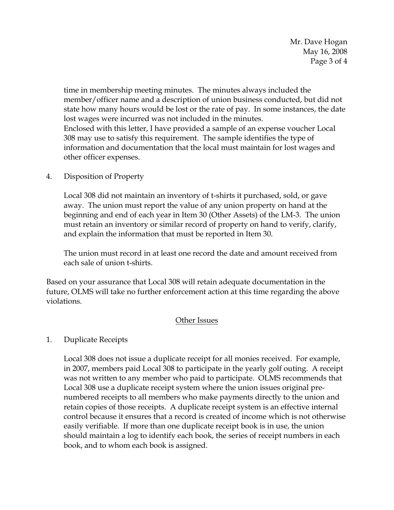Mr. Dave Hogan May 16, 2008 Page 3 of 4

time in membership meeting minutes. The minutes always included the member/officer name and a description of union business conducted, but did not state how many hours would be lost or the rate of pay. In some instances, the date lost wages were incurred was not included in the minutes. Enclosed with this letter, I have provided a sample of an expense voucher Local 308 may use to satisfy this requirement. The sample identifies the type of information and documentation that the local must maintain for lost wages and other officer expenses.

4. Disposition of Property

Local 308 did not maintain an inventory of t-shirts it purchased, sold, or gave away. The union must report the value of any union property on hand at the beginning and end of each year in Item 30 (Other Assets) of the LM-3. The union must retain an inventory or similar record of property on hand to verify, clarify, and explain the information that must be reported in Item 30.

The union must record in at least one record the date and amount received from each sale of union t-shirts.

Based on your assurance that Local 308 will retain adequate documentation in the future, OLMS will take no further enforcement action at this time regarding the above violations.

## Other Issues

## 1. Duplicate Receipts

Local 308 does not issue a duplicate receipt for all monies received. For example, in 2007, members paid Local 308 to participate in the yearly golf outing. A receipt was not written to any member who paid to participate. OLMS recommends that Local 308 use a duplicate receipt system where the union issues original prenumbered receipts to all members who make payments directly to the union and retain copies of those receipts. A duplicate receipt system is an effective internal control because it ensures that a record is created of income which is not otherwise easily verifiable. If more than one duplicate receipt book is in use, the union should maintain a log to identify each book, the series of receipt numbers in each book, and to whom each book is assigned.